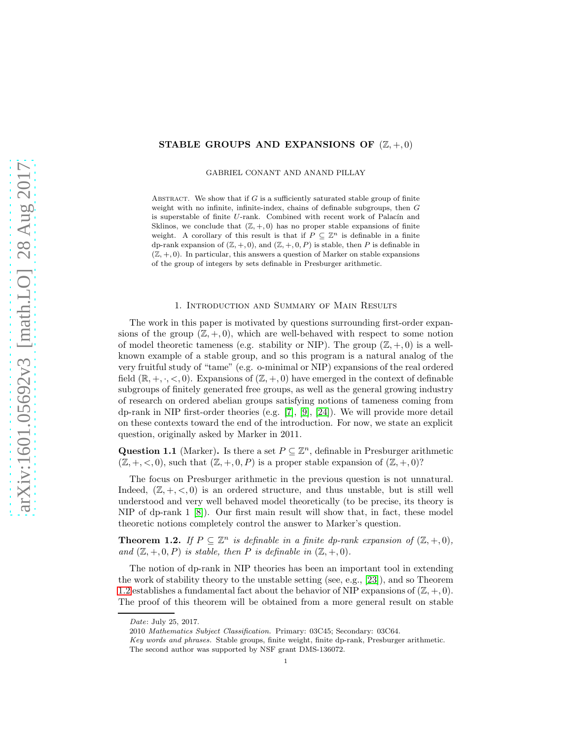## STABLE GROUPS AND EXPANSIONS OF  $(\mathbb{Z}, +, 0)$

GABRIEL CONANT AND ANAND PILLAY

ABSTRACT. We show that if  $G$  is a sufficiently saturated stable group of finite weight with no infinite, infinite-index, chains of definable subgroups, then G is superstable of finite  $U$ -rank. Combined with recent work of Palacín and Sklinos, we conclude that  $(\mathbb{Z}, +, 0)$  has no proper stable expansions of finite weight. A corollary of this result is that if  $P \subseteq \mathbb{Z}^n$  is definable in a finite dp-rank expansion of  $(\mathbb{Z}, +, 0)$ , and  $(\mathbb{Z}, +, 0, P)$  is stable, then P is definable in  $(\mathbb{Z}, +, 0)$ . In particular, this answers a question of Marker on stable expansions of the group of integers by sets definable in Presburger arithmetic.

## 1. Introduction and Summary of Main Results

The work in this paper is motivated by questions surrounding first-order expansions of the group  $(\mathbb{Z}, +, 0)$ , which are well-behaved with respect to some notion of model theoretic tameness (e.g. stability or NIP). The group  $(\mathbb{Z}, +, 0)$  is a wellknown example of a stable group, and so this program is a natural analog of the very fruitful study of "tame" (e.g. o-minimal or NIP) expansions of the real ordered field  $(\mathbb{R}, +, \cdot, < 0)$ . Expansions of  $(\mathbb{Z}, +, 0)$  have emerged in the context of definable subgroups of finitely generated free groups, as well as the general growing industry of research on ordered abelian groups satisfying notions of tameness coming from dp-rank in NIP first-order theories (e.g. [\[7\]](#page-9-0), [\[9\]](#page-9-1), [\[24\]](#page-9-2)). We will provide more detail on these contexts toward the end of the introduction. For now, we state an explicit question, originally asked by Marker in 2011.

<span id="page-0-1"></span>Question 1.1 (Marker). Is there a set  $P \subseteq \mathbb{Z}^n$ , definable in Presburger arithmetic  $(\mathbb{Z}, +, <, 0)$ , such that  $(\mathbb{Z}, +, 0, P)$  is a proper stable expansion of  $(\mathbb{Z}, +, 0)$ ?

The focus on Presburger arithmetic in the previous question is not unnatural. Indeed,  $(\mathbb{Z}, +, <, 0)$  is an ordered structure, and thus unstable, but is still well understood and very well behaved model theoretically (to be precise, its theory is NIP of dp-rank 1 [\[8\]](#page-9-3)). Our first main result will show that, in fact, these model theoretic notions completely control the answer to Marker's question.

<span id="page-0-0"></span>**Theorem 1.2.** *If*  $P \subseteq \mathbb{Z}^n$  *is definable in a finite dp-rank expansion of*  $(\mathbb{Z}, +, 0)$ *,* and  $(\mathbb{Z}, +, 0, P)$  *is stable, then* P *is definable in*  $(\mathbb{Z}, +, 0)$ *.* 

The notion of dp-rank in NIP theories has been an important tool in extending the work of stability theory to the unstable setting (see, e.g., [\[23\]](#page-9-4)), and so Theorem [1.2](#page-0-0) establishes a fundamental fact about the behavior of NIP expansions of  $(\mathbb{Z}, +, 0)$ . The proof of this theorem will be obtained from a more general result on stable

*Date*: July 25, 2017.

<sup>2010</sup> *Mathematics Subject Classification.* Primary: 03C45; Secondary: 03C64.

*Key words and phrases.* Stable groups, finite weight, finite dp-rank, Presburger arithmetic. The second author was supported by NSF grant DMS-136072.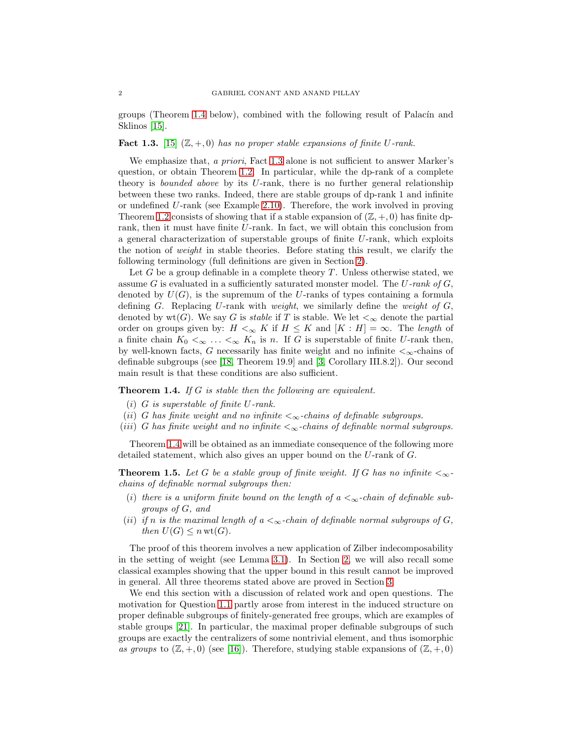groups (Theorem [1.4](#page-1-0) below), combined with the following result of Palacín and Sklinos [\[15\]](#page-9-5).

<span id="page-1-1"></span>**Fact 1.3.** [\[15\]](#page-9-5)  $(\mathbb{Z}, +, 0)$  *has no proper stable expansions of finite* U-rank.

We emphasize that, *a priori*, Fact [1.3](#page-1-1) alone is not sufficient to answer Marker's question, or obtain Theorem [1.2.](#page-0-0) In particular, while the dp-rank of a complete theory is *bounded above* by its U-rank, there is no further general relationship between these two ranks. Indeed, there are stable groups of dp-rank 1 and infinite or undefined U-rank (see Example [2.10\)](#page-5-0). Therefore, the work involved in proving Theorem [1.2](#page-0-0) consists of showing that if a stable expansion of  $(\mathbb{Z}, +, 0)$  has finite dprank, then it must have finite U-rank. In fact, we will obtain this conclusion from a general characterization of superstable groups of finite U-rank, which exploits the notion of *weight* in stable theories. Before stating this result, we clarify the following terminology (full definitions are given in Section [2\)](#page-3-0).

Let  $G$  be a group definable in a complete theory  $T$ . Unless otherwise stated, we assume G is evaluated in a sufficiently saturated monster model. The U*-rank of* G, denoted by  $U(G)$ , is the supremum of the U-ranks of types containing a formula defining G. Replacing U-rank with *weight*, we similarly define the *weight of* G, denoted by  $wt(G)$ . We say G is *stable* if T is stable. We let  $\lt_{\infty}$  denote the partial order on groups given by:  $H \leq \alpha$  K if  $H \leq K$  and  $[K : H] = \infty$ . The *length* of a finite chain  $K_0 <_{\infty} \ldots <_{\infty} K_n$  is n. If G is superstable of finite U-rank then, by well-known facts, G necessarily has finite weight and no infinite  $\lt_{\infty}$ -chains of definable subgroups (see [\[18,](#page-9-6) Theorem 19.9] and [\[3,](#page-9-7) Corollary III.8.2]). Our second main result is that these conditions are also sufficient.

<span id="page-1-0"></span>Theorem 1.4. *If* G *is stable then the following are equivalent.*

- (i) G *is superstable of finite* U*-rank.*
- (ii) G has finite weight and no infinite  $\lt_{\infty}$ -chains of definable subgroups.
- (*iii*) G has finite weight and no infinite  $\lt_{\infty}$ -chains of definable normal subgroups.

Theorem [1.4](#page-1-0) will be obtained as an immediate consequence of the following more detailed statement, which also gives an upper bound on the U-rank of G.

<span id="page-1-2"></span>**Theorem 1.5.** Let G be a stable group of finite weight. If G has no infinite  $\lt_{\infty}$ *chains of definable normal subgroups then:*

- (i) there is a uniform finite bound on the length of  $a <_{\infty}$ -chain of definable sub*groups of* G*, and*
- (*ii*) *if* n *is the maximal length of*  $a <sub>\infty</sub>$ -chain of definable normal subgroups of  $G$ , *then*  $U(G) \leq n \text{ wt}(G)$ *.*

The proof of this theorem involves a new application of Zilber indecomposability in the setting of weight (see Lemma [3.1\)](#page-7-0). In Section [2,](#page-3-0) we will also recall some classical examples showing that the upper bound in this result cannot be improved in general. All three theorems stated above are proved in Section [3.](#page-6-0)

We end this section with a discussion of related work and open questions. The motivation for Question [1.1](#page-0-1) partly arose from interest in the induced structure on proper definable subgroups of finitely-generated free groups, which are examples of stable groups [\[21\]](#page-9-8). In particular, the maximal proper definable subgroups of such groups are exactly the centralizers of some nontrivial element, and thus isomorphic *as groups* to  $(\mathbb{Z}, +, 0)$  (see [\[16\]](#page-9-9)). Therefore, studying stable expansions of  $(\mathbb{Z}, +, 0)$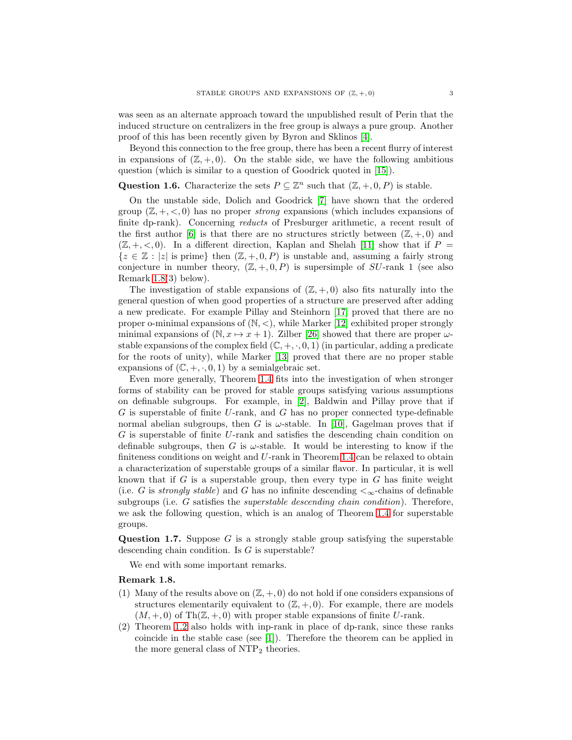was seen as an alternate approach toward the unpublished result of Perin that the induced structure on centralizers in the free group is always a pure group. Another proof of this has been recently given by Byron and Sklinos [\[4\]](#page-9-10).

Beyond this connection to the free group, there has been a recent flurry of interest in expansions of  $(\mathbb{Z}, +, 0)$ . On the stable side, we have the following ambitious question (which is similar to a question of Goodrick quoted in [\[15\]](#page-9-5)).

# Question 1.6. Characterize the sets  $P \subseteq \mathbb{Z}^n$  such that  $(\mathbb{Z}, +, 0, P)$  is stable.

On the unstable side, Dolich and Goodrick [\[7\]](#page-9-0) have shown that the ordered group  $(\mathbb{Z}, +, <, 0)$  has no proper *strong* expansions (which includes expansions of finite dp-rank). Concerning *reducts* of Presburger arithmetic, a recent result of the first author [\[6\]](#page-9-11) is that there are no structures strictly between  $(\mathbb{Z}, +, 0)$  and  $(\mathbb{Z}, +, <, 0)$ . In a different direction, Kaplan and Shelah [\[11\]](#page-9-12) show that if P =  ${z \in \mathbb{Z} : |z| \text{ is prime}}$  then  $(\mathbb{Z}, +, 0, P)$  is unstable and, assuming a fairly strong conjecture in number theory,  $(\mathbb{Z}, +, 0, P)$  is supersimple of SU-rank 1 (see also Remark [1.8\(](#page-2-0)3) below).

The investigation of stable expansions of  $(\mathbb{Z}, +, 0)$  also fits naturally into the general question of when good properties of a structure are preserved after adding a new predicate. For example Pillay and Steinhorn [\[17\]](#page-9-13) proved that there are no proper o-minimal expansions of  $(N, <)$ , while Marker [\[12\]](#page-9-14) exhibited proper strongly minimal expansions of  $(N, x \mapsto x + 1)$ . Zilber [\[26\]](#page-9-15) showed that there are proper  $\omega$ stable expansions of the complex field  $(\mathbb{C}, +, \cdot, 0, 1)$  (in particular, adding a predicate for the roots of unity), while Marker [\[13\]](#page-9-16) proved that there are no proper stable expansions of  $(\mathbb{C}, +, \cdot, 0, 1)$  by a semialgebraic set.

Even more generally, Theorem [1.4](#page-1-0) fits into the investigation of when stronger forms of stability can be proved for stable groups satisfying various assumptions on definable subgroups. For example, in [\[2\]](#page-8-0), Baldwin and Pillay prove that if  $G$  is superstable of finite U-rank, and  $G$  has no proper connected type-definable normal abelian subgroups, then G is  $\omega$ -stable. In [\[10\]](#page-9-17), Gagelman proves that if G is superstable of finite U-rank and satisfies the descending chain condition on definable subgroups, then G is  $\omega$ -stable. It would be interesting to know if the finiteness conditions on weight and U-rank in Theorem [1.4](#page-1-0) can be relaxed to obtain a characterization of superstable groups of a similar flavor. In particular, it is well known that if G is a superstable group, then every type in  $G$  has finite weight (i.e. G is *strongly stable*) and G has no infinite descending  $\lt_\infty$ -chains of definable subgroups (i.e. G satisfies the *superstable descending chain condition*). Therefore, we ask the following question, which is an analog of Theorem [1.4](#page-1-0) for superstable groups.

**Question 1.7.** Suppose  $G$  is a strongly stable group satisfying the superstable descending chain condition. Is  $G$  is superstable?

We end with some important remarks.

### <span id="page-2-0"></span>Remark 1.8.

- (1) Many of the results above on  $(\mathbb{Z}, +, 0)$  do not hold if one considers expansions of structures elementarily equivalent to  $(\mathbb{Z}, +, 0)$ . For example, there are models  $(M, +, 0)$  of Th $(\mathbb{Z}, +, 0)$  with proper stable expansions of finite U-rank.
- (2) Theorem [1.2](#page-0-0) also holds with inp-rank in place of dp-rank, since these ranks coincide in the stable case (see [\[1\]](#page-8-1)). Therefore the theorem can be applied in the more general class of  $NTP_2$  theories.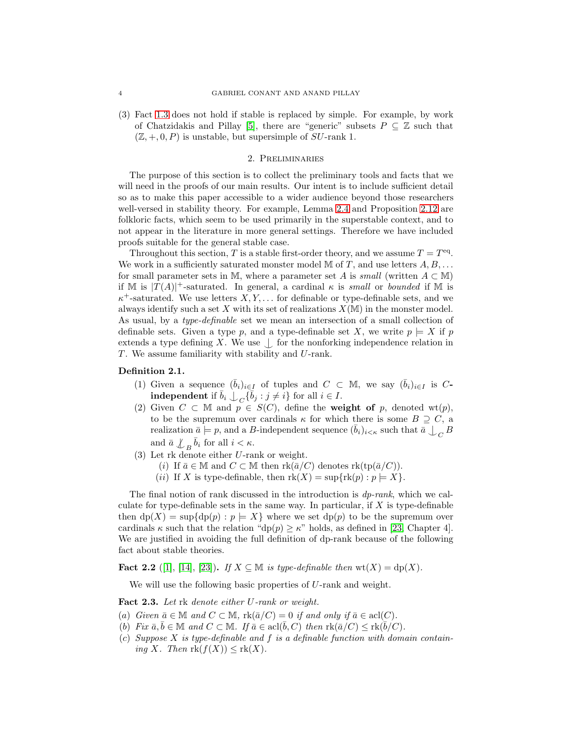(3) Fact [1.3](#page-1-1) does not hold if stable is replaced by simple. For example, by work of Chatzidakis and Pillay [\[5\]](#page-9-18), there are "generic" subsets  $P \subseteq \mathbb{Z}$  such that  $(\mathbb{Z}, +, 0, P)$  is unstable, but supersimple of SU-rank 1.

## 2. Preliminaries

<span id="page-3-0"></span>The purpose of this section is to collect the preliminary tools and facts that we will need in the proofs of our main results. Our intent is to include sufficient detail so as to make this paper accessible to a wider audience beyond those researchers well-versed in stability theory. For example, Lemma [2.4](#page-4-0) and Proposition [2.12](#page-6-1) are folkloric facts, which seem to be used primarily in the superstable context, and to not appear in the literature in more general settings. Therefore we have included proofs suitable for the general stable case.

Throughout this section, T is a stable first-order theory, and we assume  $T = T<sup>eq</sup>$ . We work in a sufficiently saturated monster model  $\mathbb M$  of  $T$ , and use letters  $A, B, \ldots$ for small parameter sets in M, where a parameter set A is *small* (written  $A \subset M$ ) if M is  $|T(A)|^+$ -saturated. In general, a cardinal  $\kappa$  is *small* or *bounded* if M is  $\kappa^+$ -saturated. We use letters  $X, Y, \ldots$  for definable or type-definable sets, and we always identify such a set X with its set of realizations  $X(\mathbb{M})$  in the monster model. As usual, by a *type-definable* set we mean an intersection of a small collection of definable sets. Given a type p, and a type-definable set X, we write  $p \models X$  if p extends a type defining X. We use  $\Box$  for the nonforking independence relation in  $T$ . We assume familiarity with stability and  $U$ -rank.

### Definition 2.1.

- (1) Given a sequence  $(\bar{b}_i)_{i\in I}$  of tuples and  $C \subset M$ , we say  $(\bar{b}_i)_{i\in I}$  is C**independent** if  $\bar{b}_i \perp_C {\{\bar{b}_j : j \neq i\}}$  for all  $i \in I$ .
- (2) Given  $C \subset \mathbb{M}$  and  $p \in S(C)$ , define the **weight of** p, denoted wt(p), to be the supremum over cardinals  $\kappa$  for which there is some  $B \supset C$ , a realization  $\bar{a} \models p$ , and a B-independent sequence  $(\bar{b}_i)_{i \le \kappa}$  such that  $\bar{a} \bigcup_C B$ and  $\bar{a} \not\perp_B \bar{b}_i$  for all  $i < \kappa$ .
- (3) Let rk denote either U-rank or weight.
	- (i) If  $\bar{a} \in \mathbb{M}$  and  $C \subset \mathbb{M}$  then  $\text{rk}(\bar{a}/C)$  denotes  $\text{rk}(\text{tp}(\bar{a}/C)).$
	- (ii) If X is type-definable, then  $rk(X) = \sup\{rk(p) : p \models X\}.$

The final notion of rank discussed in the introduction is *dp-rank*, which we calculate for type-definable sets in the same way. In particular, if  $X$  is type-definable then  $dp(X) = \sup\{dp(p) : p \models X\}$  where we set  $dp(p)$  to be the supremum over cardinals  $\kappa$  such that the relation "dp(p)  $\geq \kappa$ " holds, as defined in [\[23,](#page-9-4) Chapter 4]. We are justified in avoiding the full definition of dp-rank because of the following fact about stable theories.

<span id="page-3-2"></span>**Fact 2.2** ([\[1\]](#page-8-1), [\[14\]](#page-9-19), [\[23\]](#page-9-4)). *If X* ⊆ M *is type-definable then* wt(*X*) = dp(*X*).

We will use the following basic properties of U-rank and weight.

<span id="page-3-1"></span>Fact 2.3. *Let* rk *denote either* U*-rank or weight.*

- (a) *Given*  $\bar{a} \in M$  *and*  $C \subset M$ ,  $rk(\bar{a}/C) = 0$  *if and only if*  $\bar{a} \in \text{acl}(C)$ *.*
- (b) Fix  $\bar{a}, \bar{b} \in \mathbb{M}$  and  $C \subset \mathbb{M}$ . If  $\bar{a} \in \text{acl}(\bar{b}, C)$  then  $\text{rk}(\bar{a}/C) \leq \text{rk}(\bar{b}/C)$ .
- (c) *Suppose* X *is type-definable and* f *is a definable function with domain containing* X. Then  $\text{rk}(f(X)) \leq \text{rk}(X)$ .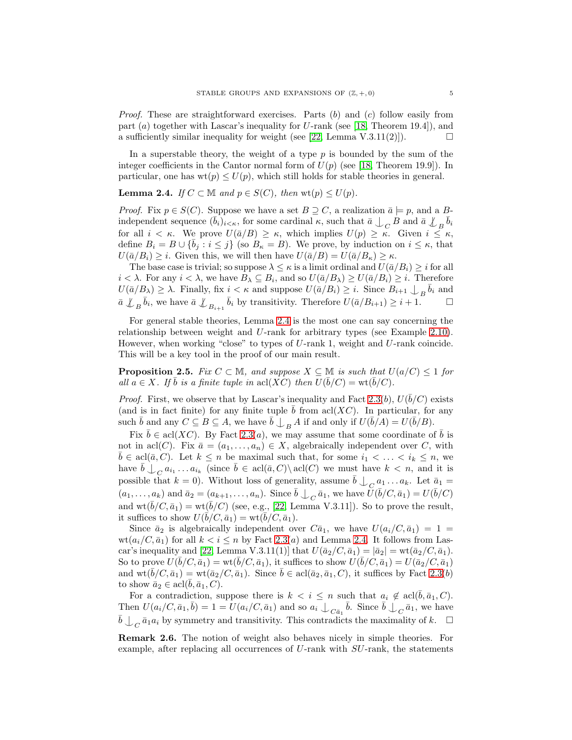*Proof.* These are straightforward exercises. Parts (b) and (c) follow easily from part  $(a)$  together with Lascar's inequality for U-rank (see [\[18,](#page-9-6) Theorem 19.4]), and a sufficiently similar inequality for weight (see [\[22,](#page-9-20) Lemma V.3.11(2)]).  $\square$ 

In a superstable theory, the weight of a type  $p$  is bounded by the sum of the integer coefficients in the Cantor normal form of  $U(p)$  (see [\[18,](#page-9-6) Theorem 19.9]). In particular, one has  $wt(p) \le U(p)$ , which still holds for stable theories in general.

<span id="page-4-0"></span>**Lemma 2.4.** *If*  $C \subset \mathbb{M}$  *and*  $p \in S(C)$ *, then*  $wt(p) \leq U(p)$ *.* 

*Proof.* Fix  $p \in S(C)$ . Suppose we have a set  $B \supseteq C$ , a realization  $\bar{a} \models p$ , and a Bindependent sequence  $(\bar{b}_i)_{i \le \kappa}$ , for some cardinal  $\kappa$ , such that  $\bar{a} \perp_C B$  and  $\bar{a} \perp_B \bar{b}_i$ for all  $i < \kappa$ . We prove  $U(\bar{a}/B) \geq \kappa$ , which implies  $U(p) \geq \kappa$ . Given  $i \leq \kappa$ , define  $B_i = B \cup {\bar{b}_j : i \leq j}$  (so  $B_{\kappa} = B$ ). We prove, by induction on  $i \leq \kappa$ , that  $U(\bar{a}/B_i) \geq i$ . Given this, we will then have  $U(\bar{a}/B) = U(\bar{a}/B_{\kappa}) \geq \kappa$ .

The base case is trivial; so suppose  $\lambda \leq \kappa$  is a limit ordinal and  $U(\bar{a}/B_i) \geq i$  for all  $i < \lambda$ . For any  $i < \lambda$ , we have  $B_{\lambda} \subseteq B_i$ , and so  $U(\bar{a}/B_{\lambda}) \ge U(\bar{a}/B_i) \ge i$ . Therefore  $U(\bar{a}/B_{\lambda}) \geq \lambda$ . Finally, fix  $i < \kappa$  and suppose  $U(\bar{a}/B_i) \geq i$ . Since  $B_{i+1} \downarrow_{B} \bar{b}_i$  and  $\bar{a} \not\perp_B \bar{b}_i$ , we have  $\bar{a} \not\perp_{B_{i+1}} \bar{b}_i$  by transitivity. Therefore  $U(\bar{a}/B_{i+1}) \geq i+1$ .

For general stable theories, Lemma [2.4](#page-4-0) is the most one can say concerning the relationship between weight and U-rank for arbitrary types (see Example [2.10\)](#page-5-0). However, when working "close" to types of  $U$ -rank 1, weight and  $U$ -rank coincide. This will be a key tool in the proof of our main result.

<span id="page-4-1"></span>**Proposition 2.5.** *Fix*  $C \subset \mathbb{M}$ *, and suppose*  $X \subseteq \mathbb{M}$  *is such that*  $U(a/C) \leq 1$  *for all*  $a \in X$ *. If*  $\bar{b}$  *is a finite tuple in* acl(*XC*) *then*  $U(\bar{b}/C) = \text{wt}(\bar{b}/C)$ *.* 

*Proof.* First, we observe that by Lascar's inequality and Fact [2.3\(](#page-3-1)b),  $U(\bar{b}/C)$  exists (and is in fact finite) for any finite tuple  $\bar{b}$  from acl(XC). In particular, for any such  $\bar{b}$  and any  $C \subseteq B \subseteq A$ , we have  $\bar{b} \bigcup_{B} A$  if and only if  $U(\bar{b}/A) = U(\bar{b}/B)$ .

Fix  $\bar{b} \in \text{acl}(XC)$ . By Fact [2.3\(](#page-3-1)*a*), we may assume that some coordinate of  $\bar{b}$  is not in acl(C). Fix  $\bar{a} = (a_1, \ldots, a_n) \in X$ , algebraically independent over C, with  $\bar{b} \in \text{acl}(\bar{a}, C)$ . Let  $k \leq n$  be maximal such that, for some  $i_1 < \ldots < i_k \leq n$ , we have  $\overline{b} \bigcup_C a_{i_1} \dots a_{i_k}$  (since  $\overline{b} \in \text{acl}(\overline{a}, C) \setminus \text{acl}(C)$  we must have  $k < n$ , and it is possible that  $k = 0$ ). Without loss of generality, assume  $\bar{b} \bigcup_C a_1 \dots a_k$ . Let  $\bar{a}_1 =$  $(a_1, \ldots, a_k)$  and  $\bar{a}_2 = (a_{k+1}, \ldots, a_n)$ . Since  $\bar{b} \perp_C \bar{a}_1$ , we have  $\bar{U}(\bar{b}/C, \bar{a}_1) = U(\bar{b}/C)$ and  $\text{wt}(\bar{b}/C, \bar{a}_1) = \text{wt}(\bar{b}/C)$  (see, e.g., [\[22,](#page-9-20) Lemma V.3.11]). So to prove the result, it suffices to show  $U(\vec{b}/C, \bar{a}_1) = \text{wt}(\bar{b}/C, \bar{a}_1)$ .

Since  $\bar{a}_2$  is algebraically independent over  $C\bar{a}_1$ , we have  $U(a_i/C, \bar{a}_1) = 1$  $wt(a_i/C, \bar{a}_1)$  for all  $k < i \leq n$  by Fact [2.3\(](#page-3-1)a) and Lemma [2.4.](#page-4-0) It follows from Las-car's inequality and [\[22,](#page-9-20) Lemma V.3.11(1)] that  $U(\bar{a}_2/C, \bar{a}_1) = |\bar{a}_2| = \text{wt}(\bar{a}_2/C, \bar{a}_1)$ . So to prove  $U(\bar{b}/C, \bar{a}_1) = \text{wt}(\bar{b}/C, \bar{a}_1)$ , it suffices to show  $U(\bar{b}/C, \bar{a}_1) = U(\bar{a}_2/C, \bar{a}_1)$ and  $\text{wt}(\bar{b}/C, \bar{a}_1) = \text{wt}(\bar{a}_2/C, \bar{a}_1)$ . Since  $\bar{b} \in \text{acl}(\bar{a}_2, \bar{a}_1, C)$ , it suffices by Fact [2.3\(](#page-3-1)b) to show  $\bar{a}_2 \in \text{acl}(\bar{b}, \bar{a}_1, C)$ .

For a contradiction, suppose there is  $k < i \leq n$  such that  $a_i \notin \text{acl}(\bar{b}, \bar{a}_1, C)$ . Then  $U(a_i/C, \bar{a}_1, \bar{b}) = 1 = U(a_i/C, \bar{a}_1)$  and so  $a_i \nightharpoonup_{C \bar{a}_1} \bar{b}$ . Since  $\bar{b} \nightharpoonup_{C} \bar{a}_1$ , we have  $\bar{b} \bigcup_C \bar{a}_1 a_i$  by symmetry and transitivity. This contradicts the maximality of  $k$ .  $\Box$ 

Remark 2.6. The notion of weight also behaves nicely in simple theories. For example, after replacing all occurrences of U-rank with SU-rank, the statements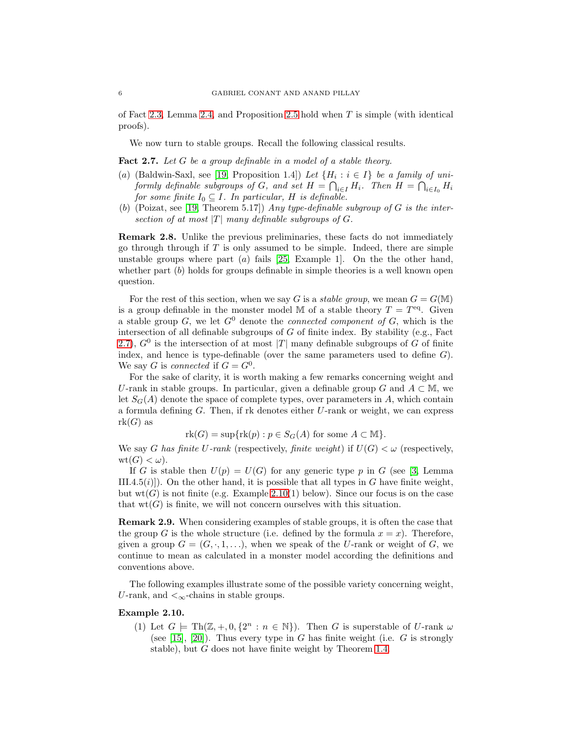of Fact [2.3,](#page-3-1) Lemma [2.4,](#page-4-0) and Proposition [2.5](#page-4-1) hold when  $T$  is simple (with identical proofs).

We now turn to stable groups. Recall the following classical results.

<span id="page-5-1"></span>Fact 2.7. *Let* G *be a group definable in a model of a stable theory.*

- (a) (Baldwin-Saxl, see [\[19,](#page-9-21) Proposition 1.4]) *Let*  $\{H_i : i \in I\}$  *be a family of uniformly definable subgroups of*  $G$ *, and set*  $H = \bigcap_{i \in I} H_i$ *. Then*  $H = \bigcap_{i \in I_0} H_i$ *for some finite*  $I_0 \subseteq I$ *. In particular, H is definable.*
- (b) (Poizat, see [\[19,](#page-9-21) Theorem 5.17]) *Any type-definable subgroup of* G *is the intersection of at most*  $|T|$  *many definable subgroups of G.*

Remark 2.8. Unlike the previous preliminaries, these facts do not immediately go through through if  $T$  is only assumed to be simple. Indeed, there are simple unstable groups where part  $(a)$  fails [\[25,](#page-9-22) Example 1]. On the the other hand, whether part  $(b)$  holds for groups definable in simple theories is a well known open question.

For the rest of this section, when we say G is a *stable group*, we mean  $G = G(M)$ is a group definable in the monster model M of a stable theory  $T = T<sup>eq</sup>$ . Given a stable group  $G$ , we let  $G^0$  denote the *connected component of*  $G$ , which is the intersection of all definable subgroups of  $G$  of finite index. By stability (e.g., Fact [2.7\)](#page-5-1),  $G^0$  is the intersection of at most |T| many definable subgroups of G of finite index, and hence is type-definable (over the same parameters used to define  $G$ ). We say G is *connected* if  $G = G^0$ .

For the sake of clarity, it is worth making a few remarks concerning weight and U-rank in stable groups. In particular, given a definable group G and  $A \subset M$ , we let  $S_G(A)$  denote the space of complete types, over parameters in A, which contain a formula defining  $G$ . Then, if rk denotes either  $U$ -rank or weight, we can express  $rk(G)$  as

 $rk(G) = \sup\{rk(p) : p \in S_G(A)$  for some  $A \subset \mathbb{M}\}.$ 

We say G has finite U-rank (respectively, *finite weight*) if  $U(G) < \omega$  (respectively,  $wt(G) < \omega$ ).

If G is stable then  $U(p) = U(G)$  for any generic type p in G (see [\[3,](#page-9-7) Lemma III.4.5(i)]). On the other hand, it is possible that all types in G have finite weight, but  $wt(G)$  is not finite (e.g. Example [2.10\(](#page-5-0)1) below). Since our focus is on the case that  $wt(G)$  is finite, we will not concern ourselves with this situation.

Remark 2.9. When considering examples of stable groups, it is often the case that the group G is the whole structure (i.e. defined by the formula  $x = x$ ). Therefore, given a group  $G = (G, \cdot, 1, \ldots)$ , when we speak of the U-rank or weight of G, we continue to mean as calculated in a monster model according the definitions and conventions above.

The following examples illustrate some of the possible variety concerning weight, U-rank, and  $\lt_{\infty}$ -chains in stable groups.

#### <span id="page-5-0"></span>Example 2.10.

(1) Let  $G \models \text{Th}(\mathbb{Z}, +, 0, \{2^n : n \in \mathbb{N}\})$ . Then G is superstable of U-rank  $\omega$ (see [\[15\]](#page-9-5), [\[20\]](#page-9-23)). Thus every type in G has finite weight (i.e. G is strongly stable), but G does not have finite weight by Theorem [1.4.](#page-1-0)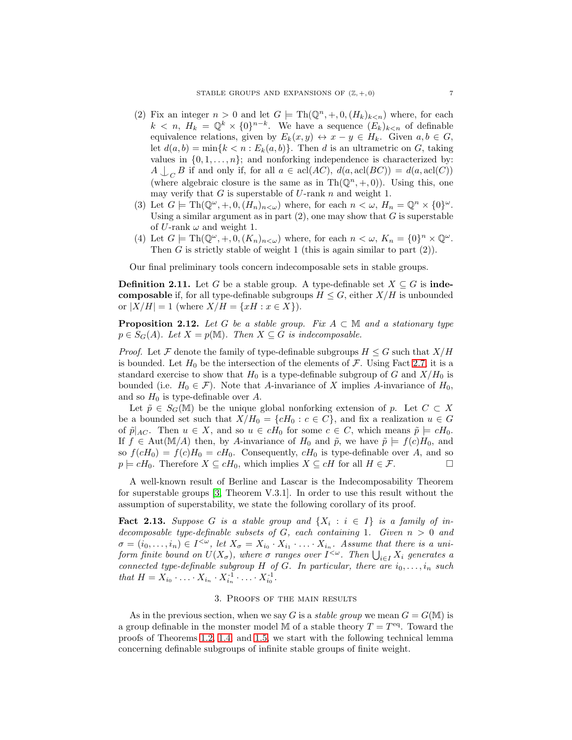- (2) Fix an integer  $n > 0$  and let  $G \models \text{Th}(\mathbb{Q}^n, +, 0, (H_k)_{k \leq n})$  where, for each  $k < n$ ,  $H_k = \mathbb{Q}^k \times \{0\}^{n-k}$ . We have a sequence  $(E_k)_{k \le n}$  of definable equivalence relations, given by  $E_k(x, y) \leftrightarrow x - y \in H_k$ . Given  $a, b \in G$ , let  $d(a, b) = \min\{k < n : E_k(a, b)\}.$  Then d is an ultrametric on G, taking values in  $\{0, 1, \ldots, n\}$ ; and nonforking independence is characterized by:  $A \bigcup_C B$  if and only if, for all  $a \in \text{acl}(AC)$ ,  $d(a, \text{acl}(BC)) = d(a, \text{acl}(C))$ (where algebraic closure is the same as in  $\text{Th}(\mathbb{Q}^n, +, 0)$ ). Using this, one may verify that  $G$  is superstable of  $U$ -rank  $n$  and weight 1.
- (3) Let  $G \models \text{Th}(\mathbb{Q}^{\omega}, +, 0, (H_n)_{n < \omega})$  where, for each  $n < \omega$ ,  $H_n = \mathbb{Q}^n \times \{0\}^{\omega}$ . Using a similar argument as in part  $(2)$ , one may show that G is superstable of U-rank  $\omega$  and weight 1.
- (4) Let  $G \models \text{Th}(\mathbb{Q}^{\omega}, +, 0, (K_n)_{n < \omega})$  where, for each  $n < \omega$ ,  $K_n = \{0\}^n \times \mathbb{Q}^{\omega}$ . Then G is strictly stable of weight 1 (this is again similar to part  $(2)$ ).

Our final preliminary tools concern indecomposable sets in stable groups.

**Definition 2.11.** Let G be a stable group. A type-definable set  $X \subseteq G$  is inde**composable** if, for all type-definable subgroups  $H \leq G$ , either  $X/H$  is unbounded or  $|X/H| = 1$  (where  $X/H = \{xH : x \in X\}$ ).

<span id="page-6-1"></span>**Proposition 2.12.** Let G be a stable group. Fix  $A \subset \mathbb{M}$  and a stationary type  $p \in S_G(A)$ *. Let*  $X = p(M)$ *. Then*  $X \subseteq G$  *is indecomposable.* 

*Proof.* Let F denote the family of type-definable subgroups  $H \leq G$  such that  $X/H$ is bounded. Let  $H_0$  be the intersection of the elements of  $\mathcal F$ . Using Fact [2.7,](#page-5-1) it is a standard exercise to show that  $H_0$  is a type-definable subgroup of G and  $X/H_0$  is bounded (i.e.  $H_0 \in \mathcal{F}$ ). Note that A-invariance of X implies A-invariance of  $H_0$ , and so  $H_0$  is type-definable over A.

Let  $\tilde{p} \in S_G(\mathbb{M})$  be the unique global nonforking extension of p. Let  $C \subset X$ be a bounded set such that  $X/H_0 = \{cH_0 : c \in C\}$ , and fix a realization  $u \in G$ of  $\tilde{p}|_{AC}$ . Then  $u \in X$ , and so  $u \in cH_0$  for some  $c \in C$ , which means  $\tilde{p} \models cH_0$ . If  $f \in Aut(M/A)$  then, by A-invariance of  $H_0$  and  $\tilde{p}$ , we have  $\tilde{p} \models f(c)H_0$ , and so  $f(cH_0) = f(c)H_0 = cH_0$ . Consequently,  $cH_0$  is type-definable over A, and so  $p \models cH_0$ . Therefore  $X \subseteq cH_0$ , which implies  $X \subseteq cH$  for all  $H \in \mathcal{F}$ .

A well-known result of Berline and Lascar is the Indecomposability Theorem for superstable groups [\[3,](#page-9-7) Theorem V.3.1]. In order to use this result without the assumption of superstability, we state the following corollary of its proof.

<span id="page-6-2"></span>**Fact 2.13.** Suppose G is a stable group and  $\{X_i : i \in I\}$  is a family of in*decomposable type-definable subsets of* G*, each containing* 1*. Given* n > 0 *and*  $\sigma = (i_0, \ldots, i_n) \in I^{\leq \omega}$ , let  $X_{\sigma} = X_{i_0} \cdot X_{i_1} \cdot \ldots \cdot X_{i_n}$ . Assume that there is a uni*form finite bound on*  $U(X_{\sigma})$ , where  $\sigma$  *ranges over*  $I^{<\omega}$ . Then  $\bigcup_{i\in I} X_i$  generates a *connected type-definable subgroup*  $H$  *of*  $G$ *. In particular, there are*  $i_0, \ldots, i_n$  *such that*  $H = X_{i_0} \cdot \ldots \cdot X_{i_n} \cdot X_{i_n}^{-1} \cdot \ldots \cdot X_{i_0}^{-1}$ .

## 3. Proofs of the main results

<span id="page-6-0"></span>As in the previous section, when we say G is a *stable group* we mean  $G = G(M)$  is a group definable in the monster model M of a stable theory  $T = T<sup>eq</sup>$ . Toward the proofs of Theorems [1.2,](#page-0-0) [1.4,](#page-1-0) and [1.5,](#page-1-2) we start with the following technical lemma concerning definable subgroups of infinite stable groups of finite weight.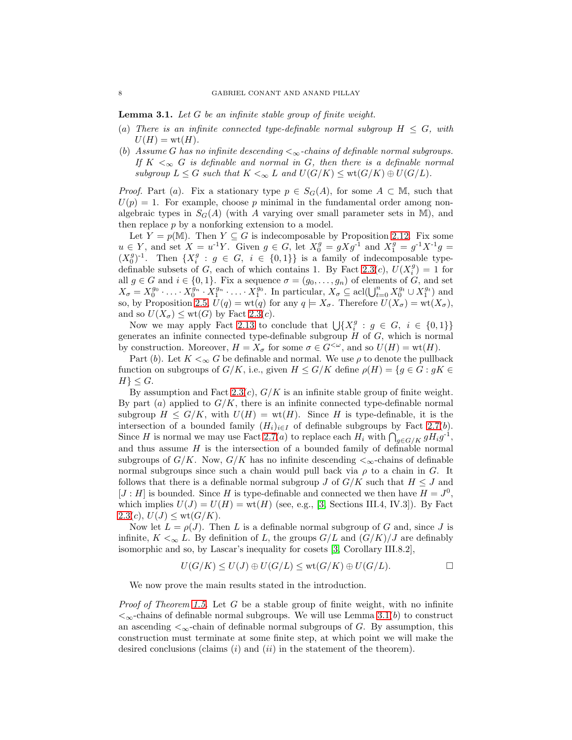<span id="page-7-0"></span>Lemma 3.1. *Let* G *be an infinite stable group of finite weight.*

- (a) There is an infinite connected type-definable normal subgroup  $H \leq G$ , with  $U(H) = \text{wt}(H)$ .
- (b) *Assume G has no infinite descending*  $\lt_{\infty}$ -chains of definable normal subgroups. *If*  $K <_{\infty} G$  *is definable and normal in* G, then there *is a definable normal subgroup*  $L \leq G$  *such that*  $K \leq_{\infty} L$  *and*  $U(G/K) \leq \text{wt}(G/K) \oplus U(G/L)$ *.*

*Proof.* Part (a). Fix a stationary type  $p \in S_G(A)$ , for some  $A \subset M$ , such that  $U(p) = 1$ . For example, choose p minimal in the fundamental order among nonalgebraic types in  $S_G(A)$  (with A varying over small parameter sets in M), and then replace  $p$  by a nonforking extension to a model.

Let  $Y = p(\mathbb{M})$ . Then  $Y \subseteq G$  is indecomposable by Proposition [2.12.](#page-6-1) Fix some  $u \in Y$ , and set  $X = u^{-1}Y$ . Given  $g \in G$ , let  $X_0^g = gXg^{-1}$  and  $X_1^g = g^{-1}X^{-1}g = g^{-1}X^{-1}$  $(X_0^g)^{-1}$ . Then  $\{X_i^g : g \in G, i \in \{0,1\}\}\$ is a family of indecomposable type-definable subsets of G, each of which contains 1. By Fact [2.3\(](#page-3-1)c),  $U(X_i^g) = 1$  for all  $g \in G$  and  $i \in \{0,1\}$ . Fix a sequence  $\sigma = (g_0, \ldots, g_n)$  of elements of G, and set  $X_{\sigma} = X_0^{g_0} \cdot \ldots \cdot X_0^{\hat{g}_n} \cdot X_1^{g_n} \cdot \ldots \cdot X_1^{g_0}$ . In particular,  $X_{\sigma} \subseteq \text{acl}(\bigcup_{t=0}^n X_0^{g_t} \cup X_1^{g_t})$  and so, by Proposition [2.5,](#page-4-1)  $U(q) = \text{wt}(q)$  for any  $q \models X_{\sigma}$ . Therefore  $U(X_{\sigma}) = \text{wt}(X_{\sigma})$ , and so  $U(X_{\sigma}) \leq \text{wt}(G)$  by Fact [2.3\(](#page-3-1)*c*).

Now we may apply Fact [2.13](#page-6-2) to conclude that  $\bigcup \{X_i^g : g \in G, i \in \{0,1\}\}\$ generates an infinite connected type-definable subgroup  $H$  of  $G$ , which is normal by construction. Moreover,  $H = X_{\sigma}$  for some  $\sigma \in G^{<\omega}$ , and so  $U(H) = \text{wt}(H)$ .

Part (b). Let  $K <_{\infty} G$  be definable and normal. We use  $\rho$  to denote the pullback function on subgroups of  $G/K$ , i.e., given  $H \leq G/K$  define  $\rho(H) = \{g \in G : gK \in$  $H$ } <  $G$ .

By assumption and Fact [2.3\(](#page-3-1)c),  $G/K$  is an infinite stable group of finite weight. By part (a) applied to  $G/K$ , there is an infinite connected type-definable normal subgroup  $H \leq G/K$ , with  $U(H) = \text{wt}(H)$ . Since H is type-definable, it is the intersection of a bounded family  $(H_i)_{i\in I}$  of definable subgroups by Fact [2.7\(](#page-5-1)b). Since H is normal we may use Fact [2.7\(](#page-5-1)*a*) to replace each  $H_i$  with  $\bigcap_{g \in G/K} gH_ig^{-1}$ , and thus assume  $H$  is the intersection of a bounded family of definable normal subgroups of  $G/K$ . Now,  $G/K$  has no infinite descending  $\lt_{\infty}$ -chains of definable normal subgroups since such a chain would pull back via  $\rho$  to a chain in G. It follows that there is a definable normal subgroup J of  $G/K$  such that  $H \leq J$  and  $[J:H]$  is bounded. Since H is type-definable and connected we then have  $H = J^0$ , which implies  $U(J) = U(H) = w(tH)$  (see, e.g., [\[3,](#page-9-7) Sections III.4, IV.3]). By Fact  $2.3(c), U(J) \leq \text{wt}(G/K).$  $2.3(c), U(J) \leq \text{wt}(G/K).$ 

Now let  $L = \rho(J)$ . Then L is a definable normal subgroup of G and, since J is infinite,  $K \leq_{\infty} L$ . By definition of L, the groups  $G/L$  and  $(G/K)/J$  are definably isomorphic and so, by Lascar's inequality for cosets [\[3,](#page-9-7) Corollary III.8.2],

$$
U(G/K) \le U(J) \oplus U(G/L) \le \text{wt}(G/K) \oplus U(G/L).
$$

We now prove the main results stated in the introduction.

*Proof of Theorem [1.5.](#page-1-2)* Let G be a stable group of finite weight, with no infinite  $\langle \infty$ -chains of definable normal subgroups. We will use Lemma [3.1\(](#page-7-0)b) to construct an ascending  $\lt_{\infty}$ -chain of definable normal subgroups of G. By assumption, this construction must terminate at some finite step, at which point we will make the desired conclusions (claims  $(i)$  and  $(ii)$  in the statement of the theorem).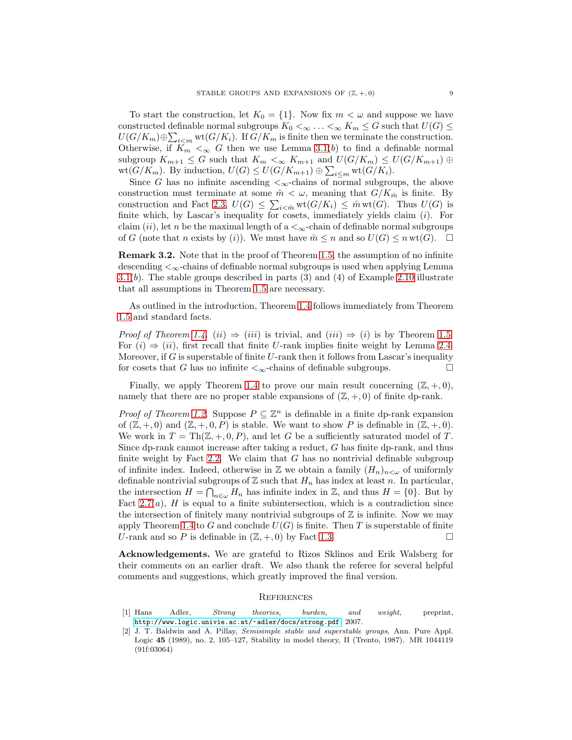To start the construction, let  $K_0 = \{1\}$ . Now fix  $m < \omega$  and suppose we have constructed definable normal subgroups  $K_0 <_{\infty} \ldots <_{\infty} K_m \leq G$  such that  $U(G) \leq$  $U(G/K_m) \oplus \sum_{i \le m} \text{wt}(G/K_i)$ . If  $G/K_m$  is finite then we terminate the construction. Otherwise, if  $K_m <_{\infty} G$  then we use Lemma [3.1\(](#page-7-0)b) to find a definable normal subgroup  $K_{m+1} \leq G$  such that  $K_m <_{\infty} K_{m+1}$  and  $U(G/K_m) \leq U(G/K_{m+1}) \oplus$  $\text{wt}(G/K_m)$ . By induction,  $U(G) \leq U(G/K_{m+1}) \oplus \sum_{i \leq m} \text{wt}(G/K_i)$ .

Since G has no infinite ascending  $\lt_{\infty}$ -chains of normal subgroups, the above construction must terminate at some  $\hat{m} < \omega$ , meaning that  $G/K_{\hat{m}}$  is finite. By construction and Fact [2.3,](#page-3-1)  $U(G) \leq \sum_{i \leq \hat{m}} \text{wt}(G/K_i) \leq \hat{m} \text{wt}(G)$ . Thus  $U(G)$  is finite which, by Lascar's inequality for cosets, immediately yields claim  $(i)$ . For claim  $(ii)$ , let n be the maximal length of a  $\lt_{\infty}$ -chain of definable normal subgroups of G (note that n exists by (i)). We must have  $\hat{m} \leq n$  and so  $U(G) \leq n \text{ wt}(G)$ .  $\Box$ 

Remark 3.2. Note that in the proof of Theorem [1.5,](#page-1-2) the assumption of no infinite descending  $\leq_{\infty}$ -chains of definable normal subgroups is used when applying Lemma [3.1\(](#page-7-0)b). The stable groups described in parts  $(3)$  and  $(4)$  of Example [2.10](#page-5-0) illustrate that all assumptions in Theorem [1.5](#page-1-2) are necessary.

As outlined in the introduction, Theorem [1.4](#page-1-0) follows immediately from Theorem [1.5](#page-1-2) and standard facts.

*Proof of Theorem [1.4.](#page-1-0)* (ii)  $\Rightarrow$  (iii) is trivial, and (iii)  $\Rightarrow$  (i) is by Theorem [1.5.](#page-1-2) For  $(i) \Rightarrow (ii)$ , first recall that finite U-rank implies finite weight by Lemma [2.4.](#page-4-0) Moreover, if G is superstable of finite U-rank then it follows from Lascar's inequality for cosets that G has no infinite  $\lt_\infty$ -chains of definable subgroups.

Finally, we apply Theorem [1.4](#page-1-0) to prove our main result concerning  $(\mathbb{Z}, +, 0)$ , namely that there are no proper stable expansions of  $(\mathbb{Z}, +, 0)$  of finite dp-rank.

*Proof of Theorem [1.2.](#page-0-0)* Suppose  $P \subseteq \mathbb{Z}^n$  is definable in a finite dp-rank expansion of  $(\mathbb{Z}, +, 0)$  and  $(\mathbb{Z}, +, 0, P)$  is stable. We want to show P is definable in  $(\mathbb{Z}, +, 0)$ . We work in  $T = Th(\mathbb{Z}, +, 0, P)$ , and let G be a sufficiently saturated model of T. Since dp-rank cannot increase after taking a reduct, G has finite dp-rank, and thus finite weight by Fact [2.2.](#page-3-2) We claim that  $G$  has no nontrivial definable subgroup of infinite index. Indeed, otherwise in  $\mathbb Z$  we obtain a family  $(H_n)_{n\leq \omega}$  of uniformly definable nontrivial subgroups of  $\mathbb Z$  such that  $H_n$  has index at least n. In particular, the intersection  $H = \bigcap_{n \in \omega} H_n$  has infinite index in Z, and thus  $H = \{0\}$ . But by Fact  $2.7(a)$ , H is equal to a finite subintersection, which is a contradiction since the intersection of finitely many nontrivial subgroups of  $\mathbb Z$  is infinite. Now we may apply Theorem [1.4](#page-1-0) to  $G$  and conclude  $U(G)$  is finite. Then  $T$  is superstable of finite U-rank and so P is definable in  $(\mathbb{Z}, +, 0)$  by Fact [1.3.](#page-1-1)

Acknowledgements. We are grateful to Rizos Sklinos and Erik Walsberg for their comments on an earlier draft. We also thank the referee for several helpful comments and suggestions, which greatly improved the final version.

#### **REFERENCES**

- <span id="page-8-1"></span>[1] Hans Adler, *Strong theories, burden, and weight*, preprint, <http://www.logic.univie.ac.at/~adler/docs/strong.pdf>, 2007.
- <span id="page-8-0"></span>[2] J. T. Baldwin and A. Pillay, *Semisimple stable and superstable groups*, Ann. Pure Appl. Logic 45 (1989), no. 2, 105–127, Stability in model theory, II (Trento, 1987). MR 1044119 (91f:03064)